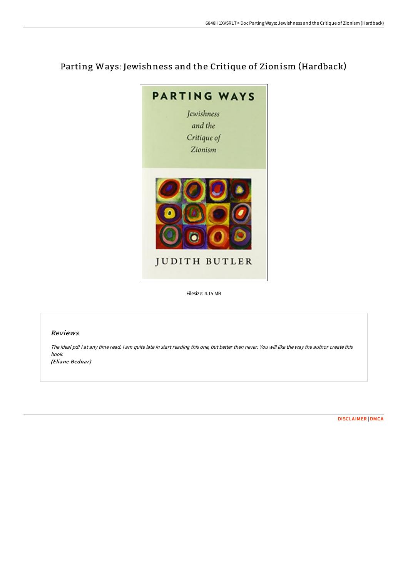# Parting Ways: Jewishness and the Critique of Zionism (Hardback)



Filesize: 4.15 MB

## Reviews

The ideal pdf i at any time read. <sup>I</sup> am quite late in start reading this one, but better then never. You will like the way the author create this book. (Eliane Bednar)

[DISCLAIMER](http://albedo.media/disclaimer.html) | [DMCA](http://albedo.media/dmca.html)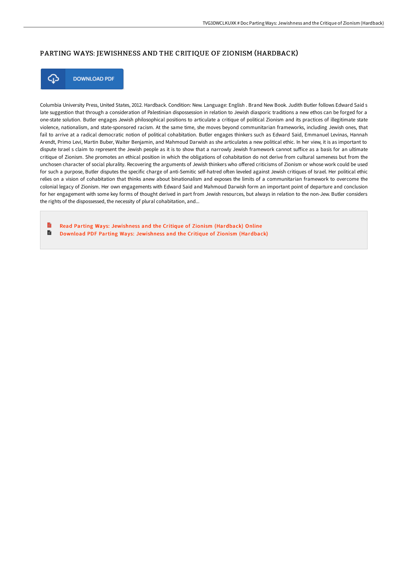### PARTING WAYS: JEWISHNESS AND THE CRITIQUE OF ZIONISM (HARDBACK)



**DOWNLOAD PDF** 

Columbia University Press, United States, 2012. Hardback. Condition: New. Language: English . Brand New Book. Judith Butler follows Edward Said s late suggestion that through a consideration of Palestinian dispossession in relation to Jewish diasporic traditions a new ethos can be forged for a one-state solution. Butler engages Jewish philosophical positions to articulate a critique of political Zionism and its practices of illegitimate state violence, nationalism, and state-sponsored racism. At the same time, she moves beyond communitarian frameworks, including Jewish ones, that fail to arrive at a radical democratic notion of political cohabitation. Butler engages thinkers such as Edward Said, Emmanuel Levinas, Hannah Arendt, Primo Levi, Martin Buber, Walter Benjamin, and Mahmoud Darwish as she articulates a new political ethic. In her view, it is as important to dispute Israel s claim to represent the Jewish people as it is to show that a narrowly Jewish framework cannot suffice as a basis for an ultimate critique of Zionism. She promotes an ethical position in which the obligations of cohabitation do not derive from cultural sameness but from the unchosen character of social plurality. Recovering the arguments of Jewish thinkers who offered criticisms of Zionism or whose work could be used for such a purpose, Butler disputes the specific charge of anti-Semitic self-hatred often leveled against Jewish critiques of Israel. Her political ethic relies on a vision of cohabitation that thinks anew about binationalism and exposes the limits of a communitarian framework to overcome the colonial legacy of Zionism. Her own engagements with Edward Said and Mahmoud Darwish form an important point of departure and conclusion for her engagement with some key forms of thought derived in part from Jewish resources, but always in relation to the non-Jew. Butler considers the rights of the dispossessed, the necessity of plural cohabitation, and...

Read Parting Ways: Jewishness and the Critique of Zionism [\(Hardback\)](http://albedo.media/parting-ways-jewishness-and-the-critique-of-zion-1.html) Online  $\blacksquare$ Download PDF Parting Ways: Jewishness and the Critique of Zionism [\(Hardback\)](http://albedo.media/parting-ways-jewishness-and-the-critique-of-zion-1.html)